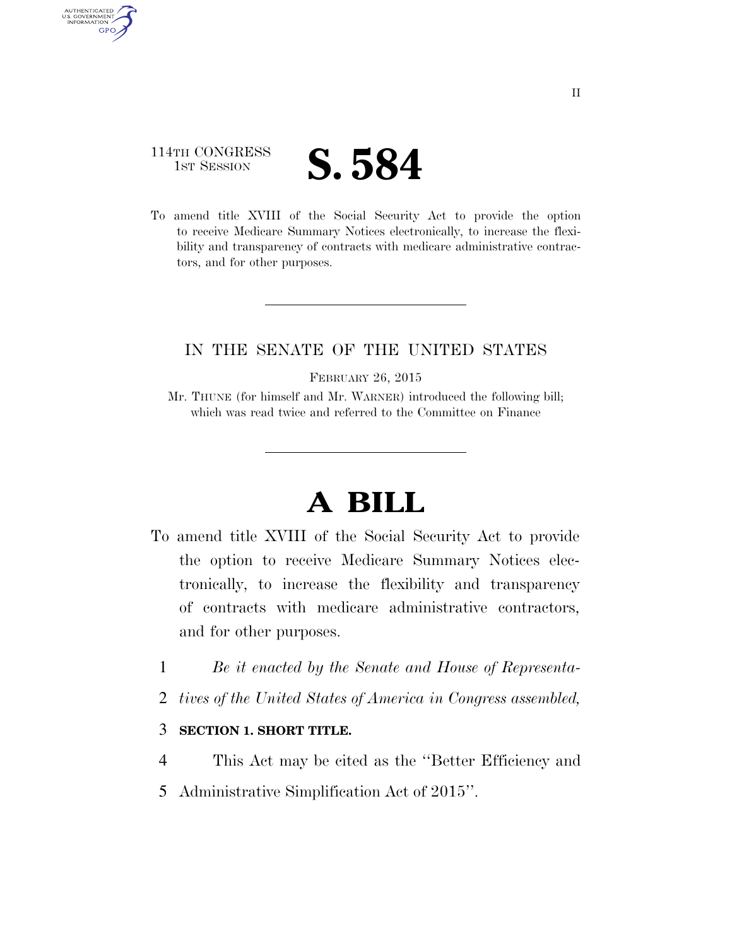### 114TH CONGRESS **IST SESSION S. 584**

AUTHENTICATED U.S. GOVERNMENT **GPO** 

> To amend title XVIII of the Social Security Act to provide the option to receive Medicare Summary Notices electronically, to increase the flexibility and transparency of contracts with medicare administrative contractors, and for other purposes.

### IN THE SENATE OF THE UNITED STATES

FEBRUARY 26, 2015

Mr. THUNE (for himself and Mr. WARNER) introduced the following bill; which was read twice and referred to the Committee on Finance

## **A BILL**

- To amend title XVIII of the Social Security Act to provide the option to receive Medicare Summary Notices electronically, to increase the flexibility and transparency of contracts with medicare administrative contractors, and for other purposes.
	- 1 *Be it enacted by the Senate and House of Representa-*
	- 2 *tives of the United States of America in Congress assembled,*

#### 3 **SECTION 1. SHORT TITLE.**

- 4 This Act may be cited as the ''Better Efficiency and
- 5 Administrative Simplification Act of 2015''.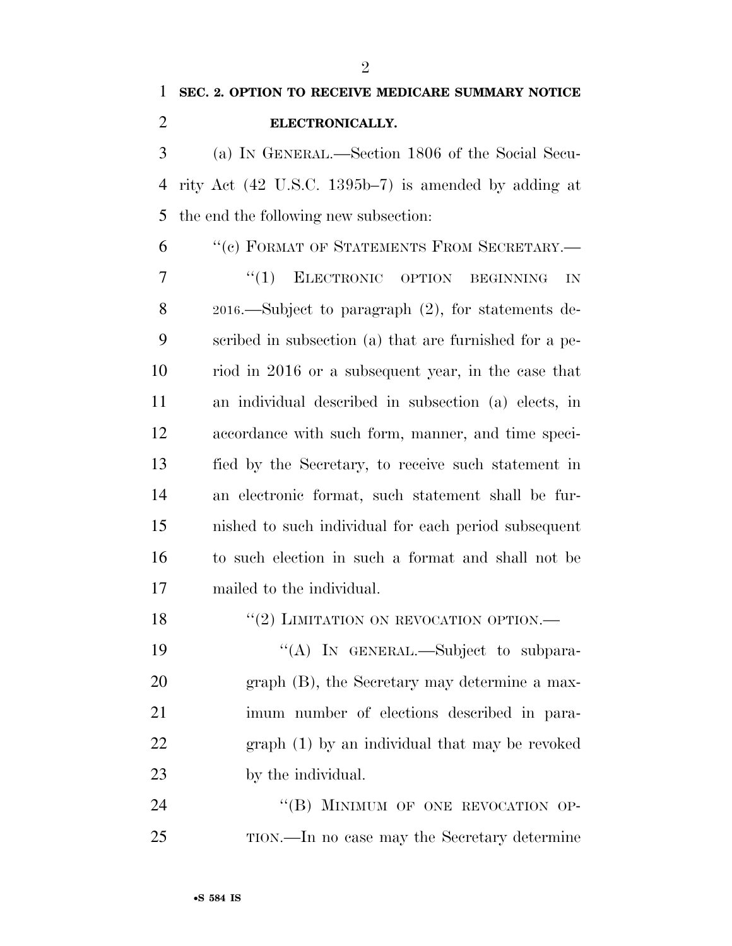**SEC. 2. OPTION TO RECEIVE MEDICARE SUMMARY NOTICE** 

# **ELECTRONICALLY.**  (a) IN GENERAL.—Section 1806 of the Social Secu- rity Act (42 U.S.C. 1395b–7) is amended by adding at the end the following new subsection: ''(c) FORMAT OF STATEMENTS FROM SECRETARY.— 7 "(1) ELECTRONIC OPTION BEGINNING IN 2016.—Subject to paragraph (2), for statements de- scribed in subsection (a) that are furnished for a pe-riod in 2016 or a subsequent year, in the case that

 an individual described in subsection (a) elects, in accordance with such form, manner, and time speci- fied by the Secretary, to receive such statement in an electronic format, such statement shall be fur- nished to such individual for each period subsequent to such election in such a format and shall not be mailed to the individual.

18 "(2) LIMITATION ON REVOCATION OPTION.—

19 "(A) In GENERAL.—Subject to subpara- graph (B), the Secretary may determine a max- imum number of elections described in para- graph (1) by an individual that may be revoked by the individual.

24 "(B) MINIMUM OF ONE REVOCATION OP-TION.—In no case may the Secretary determine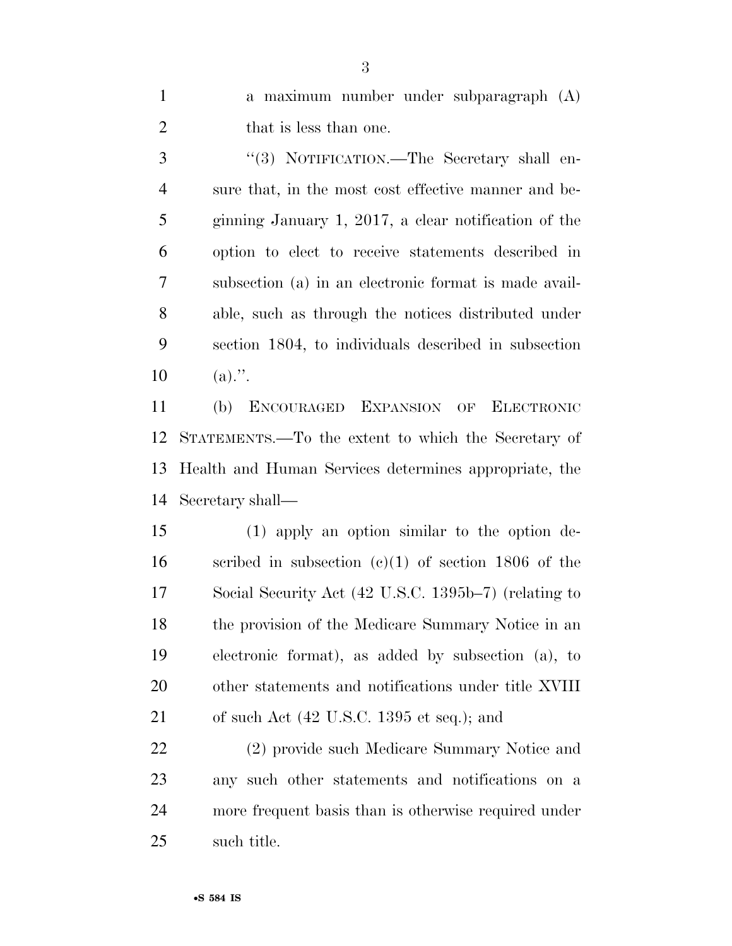a maximum number under subparagraph (A) 2 that is less than one.

3 "(3) NOTIFICATION.—The Secretary shall en- sure that, in the most cost effective manner and be- ginning January 1, 2017, a clear notification of the option to elect to receive statements described in subsection (a) in an electronic format is made avail- able, such as through the notices distributed under section 1804, to individuals described in subsection  $10 \t (a)$ .".

 (b) ENCOURAGED EXPANSION OF ELECTRONIC STATEMENTS.—To the extent to which the Secretary of Health and Human Services determines appropriate, the Secretary shall—

 (1) apply an option similar to the option de- scribed in subsection (c)(1) of section 1806 of the Social Security Act (42 U.S.C. 1395b–7) (relating to the provision of the Medicare Summary Notice in an electronic format), as added by subsection (a), to other statements and notifications under title XVIII of such Act (42 U.S.C. 1395 et seq.); and

 (2) provide such Medicare Summary Notice and any such other statements and notifications on a more frequent basis than is otherwise required under such title.